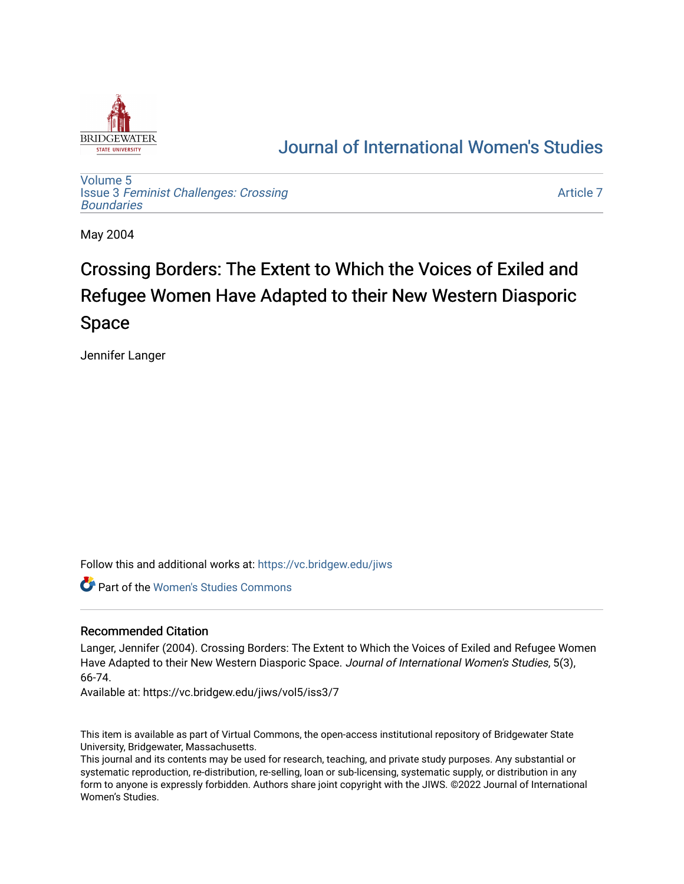

## [Journal of International Women's Studies](https://vc.bridgew.edu/jiws)

[Volume 5](https://vc.bridgew.edu/jiws/vol5) Issue 3 [Feminist Challenges: Crossing](https://vc.bridgew.edu/jiws/vol5/iss3) **[Boundaries](https://vc.bridgew.edu/jiws/vol5/iss3)** 

[Article 7](https://vc.bridgew.edu/jiws/vol5/iss3/7) 

May 2004

# Crossing Borders: The Extent to Which the Voices of Exiled and Refugee Women Have Adapted to their New Western Diasporic Space

Jennifer Langer

Follow this and additional works at: [https://vc.bridgew.edu/jiws](https://vc.bridgew.edu/jiws?utm_source=vc.bridgew.edu%2Fjiws%2Fvol5%2Fiss3%2F7&utm_medium=PDF&utm_campaign=PDFCoverPages)

Part of the [Women's Studies Commons](http://network.bepress.com/hgg/discipline/561?utm_source=vc.bridgew.edu%2Fjiws%2Fvol5%2Fiss3%2F7&utm_medium=PDF&utm_campaign=PDFCoverPages) 

## Recommended Citation

Langer, Jennifer (2004). Crossing Borders: The Extent to Which the Voices of Exiled and Refugee Women Have Adapted to their New Western Diasporic Space. Journal of International Women's Studies, 5(3), 66-74.

Available at: https://vc.bridgew.edu/jiws/vol5/iss3/7

This item is available as part of Virtual Commons, the open-access institutional repository of Bridgewater State University, Bridgewater, Massachusetts.

This journal and its contents may be used for research, teaching, and private study purposes. Any substantial or systematic reproduction, re-distribution, re-selling, loan or sub-licensing, systematic supply, or distribution in any form to anyone is expressly forbidden. Authors share joint copyright with the JIWS. ©2022 Journal of International Women's Studies.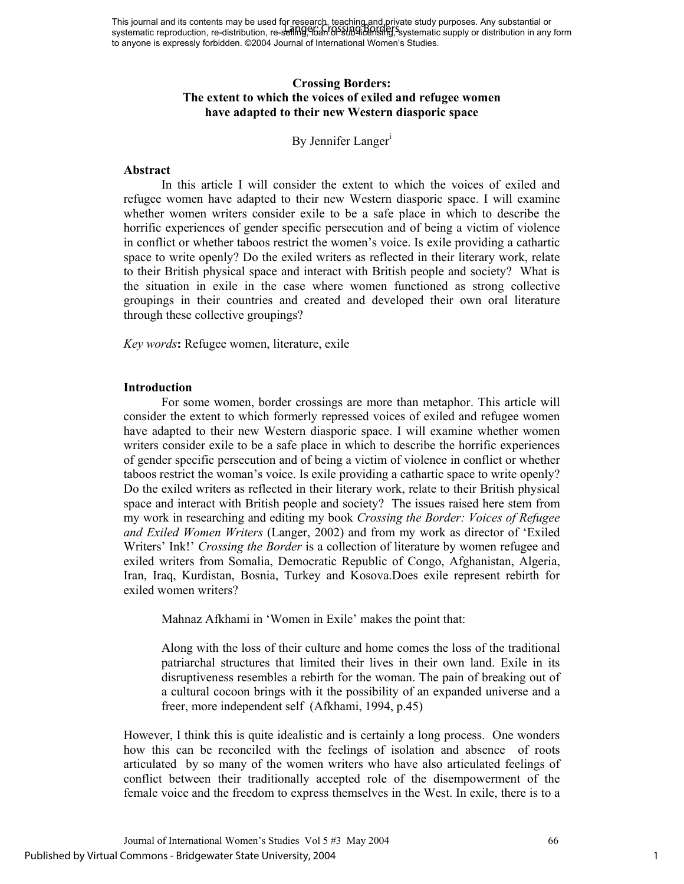## **Crossing Borders: The extent to which the voices of exiled and refugee women have adapted to their new Western diasporic space**

## By Jennifer Langer<sup>1</sup>

## **Abstract**

In this article I will consider the extent to which the voices of exiled and refugee women have adapted to their new Western diasporic space. I will examine whether women writers consider exile to be a safe place in which to describe the horrific experiences of gender specific persecution and of being a victim of violence in conflict or whether taboos restrict the women's voice. Is exile providing a cathartic space to write openly? Do the exiled writers as reflected in their literary work, relate to their British physical space and interact with British people and society? What is the situation in exile in the case where women functioned as strong collective groupings in their countries and created and developed their own oral literature through these collective groupings?

*Key words***:** Refugee women, literature, exile

## **Introduction**

For some women, border crossings are more than metaphor. This article will consider the extent to which formerly repressed voices of exiled and refugee women have adapted to their new Western diasporic space. I will examine whether women writers consider exile to be a safe place in which to describe the horrific experiences of gender specific persecution and of being a victim of violence in conflict or whether taboos restrict the woman's voice. Is exile providing a cathartic space to write openly? Do the exiled writers as reflected in their literary work, relate to their British physical space and interact with British people and society? The issues raised here stem from my work in researching and editing my book *Crossing the Border: Voices of Refugee and Exiled Women Writers* (Langer, 2002) and from my work as director of 'Exiled Writers' Ink!' *Crossing the Border* is a collection of literature by women refugee and exiled writers from Somalia, Democratic Republic of Congo, Afghanistan, Algeria, Iran, Iraq, Kurdistan, Bosnia, Turkey and Kosova.Does exile represent rebirth for exiled women writers?

Mahnaz Afkhami in 'Women in Exile' makes the point that:

Along with the loss of their culture and home comes the loss of the traditional patriarchal structures that limited their lives in their own land. Exile in its disruptiveness resembles a rebirth for the woman. The pain of breaking out of a cultural cocoon brings with it the possibility of an expanded universe and a freer, more independent self (Afkhami, 1994, p.45)

However, I think this is quite idealistic and is certainly a long process. One wonders how this can be reconciled with the feelings of isolation and absence of roots articulated by so many of the women writers who have also articulated feelings of conflict between their traditionally accepted role of the disempowerment of the female voice and the freedom to express themselves in the West. In exile, there is to a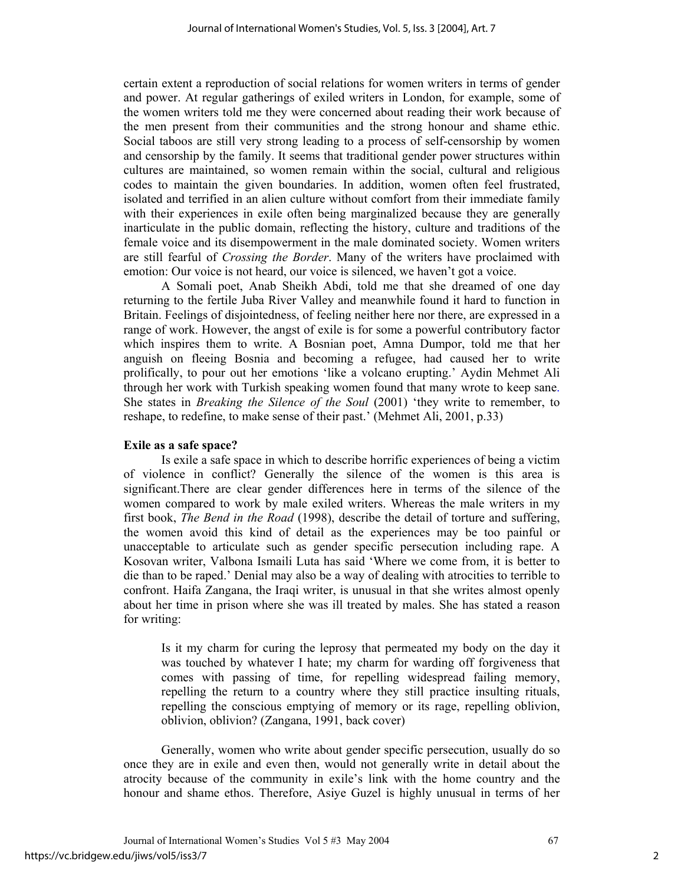certain extent a reproduction of social relations for women writers in terms of gender and power. At regular gatherings of exiled writers in London, for example, some of the women writers told me they were concerned about reading their work because of the men present from their communities and the strong honour and shame ethic. Social taboos are still very strong leading to a process of self-censorship by women and censorship by the family. It seems that traditional gender power structures within cultures are maintained, so women remain within the social, cultural and religious codes to maintain the given boundaries. In addition, women often feel frustrated, isolated and terrified in an alien culture without comfort from their immediate family with their experiences in exile often being marginalized because they are generally inarticulate in the public domain, reflecting the history, culture and traditions of the female voice and its disempowerment in the male dominated society. Women writers are still fearful of *Crossing the Border*. Many of the writers have proclaimed with emotion: Our voice is not heard, our voice is silenced, we haven't got a voice.

A Somali poet, Anab Sheikh Abdi, told me that she dreamed of one day returning to the fertile Juba River Valley and meanwhile found it hard to function in Britain. Feelings of disjointedness, of feeling neither here nor there, are expressed in a range of work. However, the angst of exile is for some a powerful contributory factor which inspires them to write. A Bosnian poet, Amna Dumpor, told me that her anguish on fleeing Bosnia and becoming a refugee, had caused her to write prolifically, to pour out her emotions 'like a volcano erupting.' Aydin Mehmet Ali through her work with Turkish speaking women found that many wrote to keep sane. She states in *Breaking the Silence of the Soul* (2001) 'they write to remember, to reshape, to redefine, to make sense of their past.' (Mehmet Ali, 2001, p.33)

## **Exile as a safe space?**

Is exile a safe space in which to describe horrific experiences of being a victim of violence in conflict? Generally the silence of the women is this area is significant.There are clear gender differences here in terms of the silence of the women compared to work by male exiled writers. Whereas the male writers in my first book, *The Bend in the Road* (1998), describe the detail of torture and suffering, the women avoid this kind of detail as the experiences may be too painful or unacceptable to articulate such as gender specific persecution including rape. A Kosovan writer, Valbona Ismaili Luta has said 'Where we come from, it is better to die than to be raped.' Denial may also be a way of dealing with atrocities to terrible to confront. Haifa Zangana, the Iraqi writer, is unusual in that she writes almost openly about her time in prison where she was ill treated by males. She has stated a reason for writing:

Is it my charm for curing the leprosy that permeated my body on the day it was touched by whatever I hate; my charm for warding off forgiveness that comes with passing of time, for repelling widespread failing memory, repelling the return to a country where they still practice insulting rituals, repelling the conscious emptying of memory or its rage, repelling oblivion, oblivion, oblivion? (Zangana, 1991, back cover)

Generally, women who write about gender specific persecution, usually do so once they are in exile and even then, would not generally write in detail about the atrocity because of the community in exile's link with the home country and the honour and shame ethos. Therefore, Asiye Guzel is highly unusual in terms of her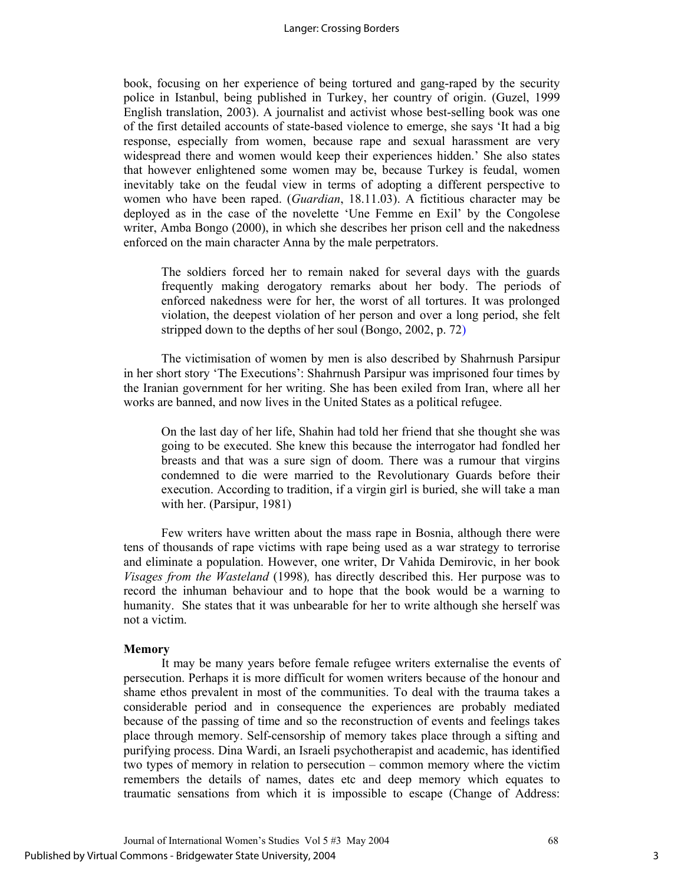book, focusing on her experience of being tortured and gang-raped by the security police in Istanbul, being published in Turkey, her country of origin. (Guzel, 1999 English translation, 2003). A journalist and activist whose best-selling book was one of the first detailed accounts of state-based violence to emerge, she says 'It had a big response, especially from women, because rape and sexual harassment are very widespread there and women would keep their experiences hidden.' She also states that however enlightened some women may be, because Turkey is feudal, women inevitably take on the feudal view in terms of adopting a different perspective to women who have been raped. (*Guardian*, 18.11.03). A fictitious character may be deployed as in the case of the novelette 'Une Femme en Exil' by the Congolese writer, Amba Bongo (2000), in which she describes her prison cell and the nakedness enforced on the main character Anna by the male perpetrators.

The soldiers forced her to remain naked for several days with the guards frequently making derogatory remarks about her body. The periods of enforced nakedness were for her, the worst of all tortures. It was prolonged violation, the deepest violation of her person and over a long period, she felt stripped down to the depths of her soul (Bongo, 2002, p. 72)

The victimisation of women by men is also described by Shahrnush Parsipur in her short story 'The Executions': Shahrnush Parsipur was imprisoned four times by the Iranian government for her writing. She has been exiled from Iran, where all her works are banned, and now lives in the United States as a political refugee.

On the last day of her life, Shahin had told her friend that she thought she was going to be executed. She knew this because the interrogator had fondled her breasts and that was a sure sign of doom. There was a rumour that virgins condemned to die were married to the Revolutionary Guards before their execution. According to tradition, if a virgin girl is buried, she will take a man with her. (Parsipur, 1981)

Few writers have written about the mass rape in Bosnia, although there were tens of thousands of rape victims with rape being used as a war strategy to terrorise and eliminate a population. However, one writer, Dr Vahida Demirovic, in her book *Visages from the Wasteland* (1998)*,* has directly described this. Her purpose was to record the inhuman behaviour and to hope that the book would be a warning to humanity. She states that it was unbearable for her to write although she herself was not a victim.

#### **Memory**

It may be many years before female refugee writers externalise the events of persecution. Perhaps it is more difficult for women writers because of the honour and shame ethos prevalent in most of the communities. To deal with the trauma takes a considerable period and in consequence the experiences are probably mediated because of the passing of time and so the reconstruction of events and feelings takes place through memory. Self-censorship of memory takes place through a sifting and purifying process. Dina Wardi, an Israeli psychotherapist and academic, has identified two types of memory in relation to persecution – common memory where the victim remembers the details of names, dates etc and deep memory which equates to traumatic sensations from which it is impossible to escape (Change of Address: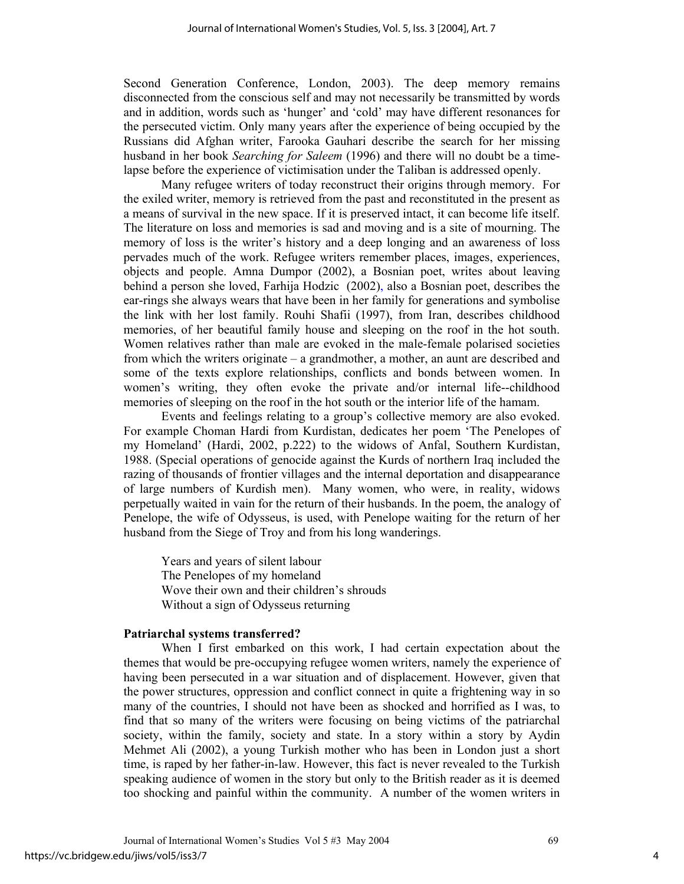Second Generation Conference, London, 2003). The deep memory remains disconnected from the conscious self and may not necessarily be transmitted by words and in addition, words such as 'hunger' and 'cold' may have different resonances for the persecuted victim. Only many years after the experience of being occupied by the Russians did Afghan writer, Farooka Gauhari describe the search for her missing husband in her book *Searching for Saleem* (1996) and there will no doubt be a timelapse before the experience of victimisation under the Taliban is addressed openly.

Many refugee writers of today reconstruct their origins through memory. For the exiled writer, memory is retrieved from the past and reconstituted in the present as a means of survival in the new space. If it is preserved intact, it can become life itself. The literature on loss and memories is sad and moving and is a site of mourning. The memory of loss is the writer's history and a deep longing and an awareness of loss pervades much of the work. Refugee writers remember places, images, experiences, objects and people. Amna Dumpor (2002), a Bosnian poet, writes about leaving behind a person she loved, Farhija Hodzic (2002), also a Bosnian poet, describes the ear-rings she always wears that have been in her family for generations and symbolise the link with her lost family. Rouhi Shafii (1997), from Iran, describes childhood memories, of her beautiful family house and sleeping on the roof in the hot south. Women relatives rather than male are evoked in the male-female polarised societies from which the writers originate – a grandmother, a mother, an aunt are described and some of the texts explore relationships, conflicts and bonds between women. In women's writing, they often evoke the private and/or internal life--childhood memories of sleeping on the roof in the hot south or the interior life of the hamam.

Events and feelings relating to a group's collective memory are also evoked. For example Choman Hardi from Kurdistan, dedicates her poem 'The Penelopes of my Homeland' (Hardi, 2002, p.222) to the widows of Anfal, Southern Kurdistan, 1988. (Special operations of genocide against the Kurds of northern Iraq included the razing of thousands of frontier villages and the internal deportation and disappearance of large numbers of Kurdish men). Many women, who were, in reality, widows perpetually waited in vain for the return of their husbands. In the poem, the analogy of Penelope, the wife of Odysseus, is used, with Penelope waiting for the return of her husband from the Siege of Troy and from his long wanderings.

Years and years of silent labour The Penelopes of my homeland Wove their own and their children's shrouds Without a sign of Odysseus returning

#### **Patriarchal systems transferred?**

When I first embarked on this work, I had certain expectation about the themes that would be pre-occupying refugee women writers, namely the experience of having been persecuted in a war situation and of displacement. However, given that the power structures, oppression and conflict connect in quite a frightening way in so many of the countries, I should not have been as shocked and horrified as I was, to find that so many of the writers were focusing on being victims of the patriarchal society, within the family, society and state. In a story within a story by Aydin Mehmet Ali (2002), a young Turkish mother who has been in London just a short time, is raped by her father-in-law. However, this fact is never revealed to the Turkish speaking audience of women in the story but only to the British reader as it is deemed too shocking and painful within the community. A number of the women writers in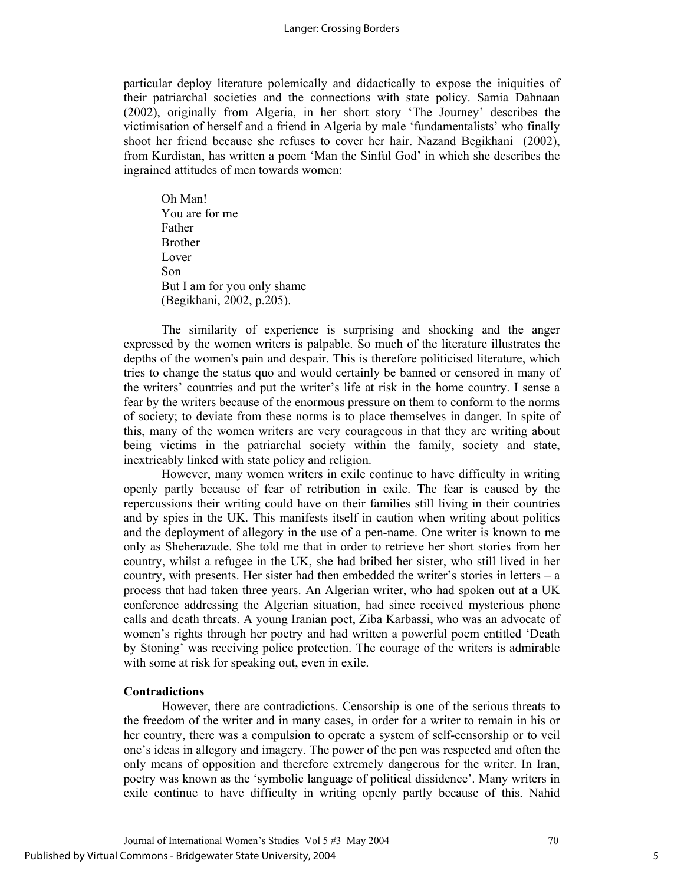particular deploy literature polemically and didactically to expose the iniquities of their patriarchal societies and the connections with state policy. Samia Dahnaan (2002), originally from Algeria, in her short story 'The Journey' describes the victimisation of herself and a friend in Algeria by male 'fundamentalists' who finally shoot her friend because she refuses to cover her hair. Nazand Begikhani (2002), from Kurdistan, has written a poem 'Man the Sinful God' in which she describes the ingrained attitudes of men towards women:

Oh Man! You are for me Father Brother Lover Son But I am for you only shame (Begikhani, 2002, p.205).

The similarity of experience is surprising and shocking and the anger expressed by the women writers is palpable. So much of the literature illustrates the depths of the women's pain and despair. This is therefore politicised literature, which tries to change the status quo and would certainly be banned or censored in many of the writers' countries and put the writer's life at risk in the home country. I sense a fear by the writers because of the enormous pressure on them to conform to the norms of society; to deviate from these norms is to place themselves in danger. In spite of this, many of the women writers are very courageous in that they are writing about being victims in the patriarchal society within the family, society and state, inextricably linked with state policy and religion.

However, many women writers in exile continue to have difficulty in writing openly partly because of fear of retribution in exile. The fear is caused by the repercussions their writing could have on their families still living in their countries and by spies in the UK. This manifests itself in caution when writing about politics and the deployment of allegory in the use of a pen-name. One writer is known to me only as Sheherazade. She told me that in order to retrieve her short stories from her country, whilst a refugee in the UK, she had bribed her sister, who still lived in her country, with presents. Her sister had then embedded the writer's stories in letters – a process that had taken three years. An Algerian writer, who had spoken out at a UK conference addressing the Algerian situation, had since received mysterious phone calls and death threats. A young Iranian poet, Ziba Karbassi, who was an advocate of women's rights through her poetry and had written a powerful poem entitled 'Death by Stoning' was receiving police protection. The courage of the writers is admirable with some at risk for speaking out, even in exile.

## **Contradictions**

However, there are contradictions. Censorship is one of the serious threats to the freedom of the writer and in many cases, in order for a writer to remain in his or her country, there was a compulsion to operate a system of self-censorship or to veil one's ideas in allegory and imagery. The power of the pen was respected and often the only means of opposition and therefore extremely dangerous for the writer. In Iran, poetry was known as the 'symbolic language of political dissidence'. Many writers in exile continue to have difficulty in writing openly partly because of this. Nahid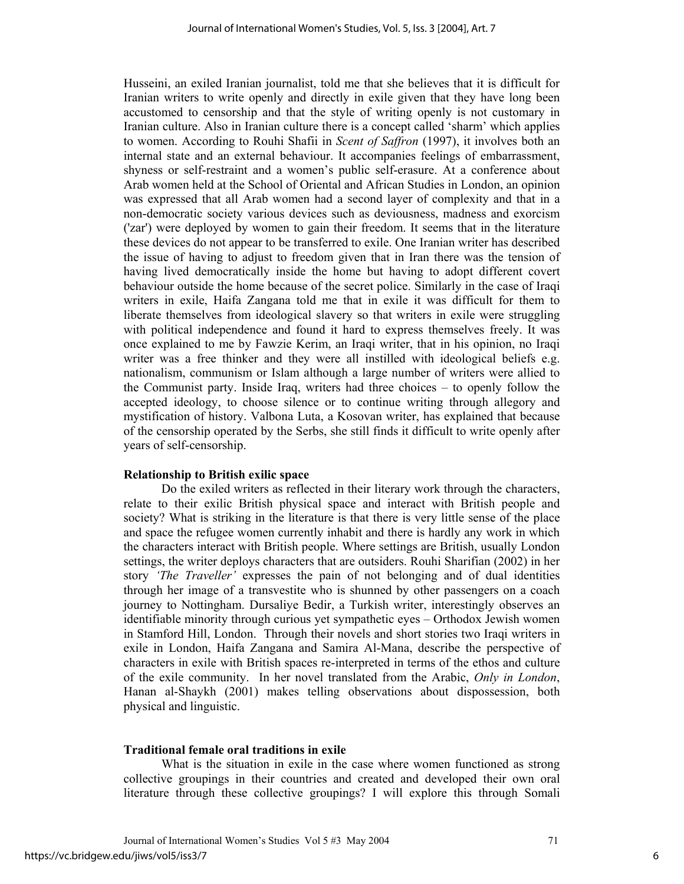Husseini, an exiled Iranian journalist, told me that she believes that it is difficult for Iranian writers to write openly and directly in exile given that they have long been accustomed to censorship and that the style of writing openly is not customary in Iranian culture. Also in Iranian culture there is a concept called 'sharm' which applies to women. According to Rouhi Shafii in *Scent of Saffron* (1997), it involves both an internal state and an external behaviour. It accompanies feelings of embarrassment, shyness or self-restraint and a women's public self-erasure. At a conference about Arab women held at the School of Oriental and African Studies in London, an opinion was expressed that all Arab women had a second layer of complexity and that in a non-democratic society various devices such as deviousness, madness and exorcism ('zar') were deployed by women to gain their freedom. It seems that in the literature these devices do not appear to be transferred to exile. One Iranian writer has described the issue of having to adjust to freedom given that in Iran there was the tension of having lived democratically inside the home but having to adopt different covert behaviour outside the home because of the secret police. Similarly in the case of Iraqi writers in exile, Haifa Zangana told me that in exile it was difficult for them to liberate themselves from ideological slavery so that writers in exile were struggling with political independence and found it hard to express themselves freely. It was once explained to me by Fawzie Kerim, an Iraqi writer, that in his opinion, no Iraqi writer was a free thinker and they were all instilled with ideological beliefs e.g. nationalism, communism or Islam although a large number of writers were allied to the Communist party. Inside Iraq, writers had three choices – to openly follow the accepted ideology, to choose silence or to continue writing through allegory and mystification of history. Valbona Luta, a Kosovan writer, has explained that because of the censorship operated by the Serbs, she still finds it difficult to write openly after years of self-censorship.

## **Relationship to British exilic space**

Do the exiled writers as reflected in their literary work through the characters, relate to their exilic British physical space and interact with British people and society? What is striking in the literature is that there is very little sense of the place and space the refugee women currently inhabit and there is hardly any work in which the characters interact with British people. Where settings are British, usually London settings, the writer deploys characters that are outsiders. Rouhi Sharifian (2002) in her story *'The Traveller'* expresses the pain of not belonging and of dual identities through her image of a transvestite who is shunned by other passengers on a coach journey to Nottingham. Dursaliye Bedir, a Turkish writer, interestingly observes an identifiable minority through curious yet sympathetic eyes – Orthodox Jewish women in Stamford Hill, London. Through their novels and short stories two Iraqi writers in exile in London, Haifa Zangana and Samira Al-Mana, describe the perspective of characters in exile with British spaces re-interpreted in terms of the ethos and culture of the exile community. In her novel translated from the Arabic, *Only in London*, Hanan al-Shaykh (2001) makes telling observations about dispossession, both physical and linguistic.

## **Traditional female oral traditions in exile**

What is the situation in exile in the case where women functioned as strong collective groupings in their countries and created and developed their own oral literature through these collective groupings? I will explore this through Somali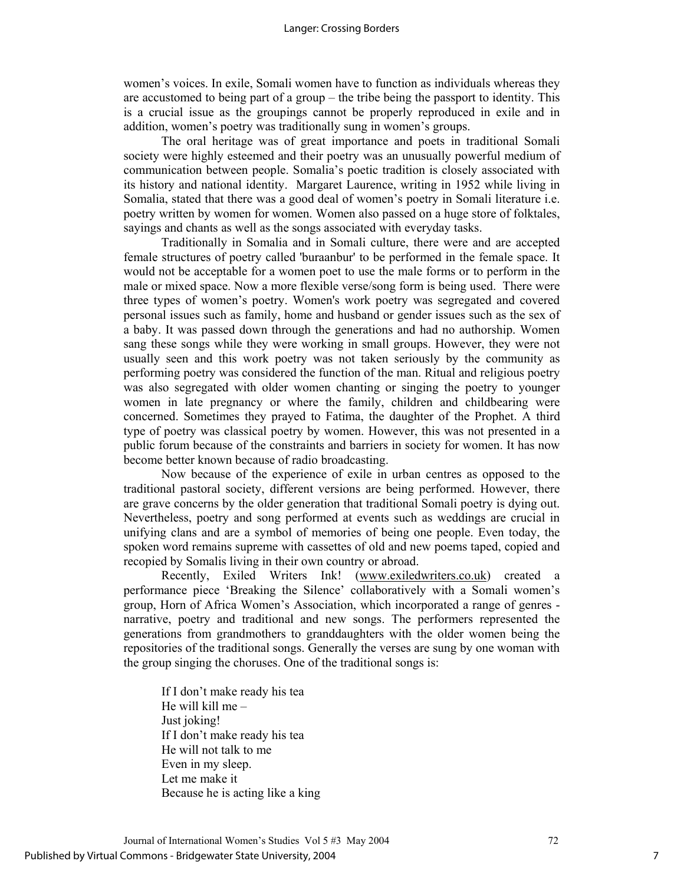women's voices. In exile, Somali women have to function as individuals whereas they are accustomed to being part of a group – the tribe being the passport to identity. This is a crucial issue as the groupings cannot be properly reproduced in exile and in addition, women's poetry was traditionally sung in women's groups.

The oral heritage was of great importance and poets in traditional Somali society were highly esteemed and their poetry was an unusually powerful medium of communication between people. Somalia's poetic tradition is closely associated with its history and national identity. Margaret Laurence, writing in 1952 while living in Somalia, stated that there was a good deal of women's poetry in Somali literature i.e. poetry written by women for women. Women also passed on a huge store of folktales, sayings and chants as well as the songs associated with everyday tasks.

Traditionally in Somalia and in Somali culture, there were and are accepted female structures of poetry called 'buraanbur' to be performed in the female space. It would not be acceptable for a women poet to use the male forms or to perform in the male or mixed space. Now a more flexible verse/song form is being used. There were three types of women's poetry. Women's work poetry was segregated and covered personal issues such as family, home and husband or gender issues such as the sex of a baby. It was passed down through the generations and had no authorship. Women sang these songs while they were working in small groups. However, they were not usually seen and this work poetry was not taken seriously by the community as performing poetry was considered the function of the man. Ritual and religious poetry was also segregated with older women chanting or singing the poetry to younger women in late pregnancy or where the family, children and childbearing were concerned. Sometimes they prayed to Fatima, the daughter of the Prophet. A third type of poetry was classical poetry by women. However, this was not presented in a public forum because of the constraints and barriers in society for women. It has now become better known because of radio broadcasting.

Now because of the experience of exile in urban centres as opposed to the traditional pastoral society, different versions are being performed. However, there are grave concerns by the older generation that traditional Somali poetry is dying out. Nevertheless, poetry and song performed at events such as weddings are crucial in unifying clans and are a symbol of memories of being one people. Even today, the spoken word remains supreme with cassettes of old and new poems taped, copied and recopied by Somalis living in their own country or abroad.

Recently, Exiled Writers Ink! (www.exiledwriters.co.uk) created a performance piece 'Breaking the Silence' collaboratively with a Somali women's group, Horn of Africa Women's Association, which incorporated a range of genres narrative, poetry and traditional and new songs. The performers represented the generations from grandmothers to granddaughters with the older women being the repositories of the traditional songs. Generally the verses are sung by one woman with the group singing the choruses. One of the traditional songs is:

If I don't make ready his tea He will kill me – Just joking! If I don't make ready his tea He will not talk to me Even in my sleep. Let me make it Because he is acting like a king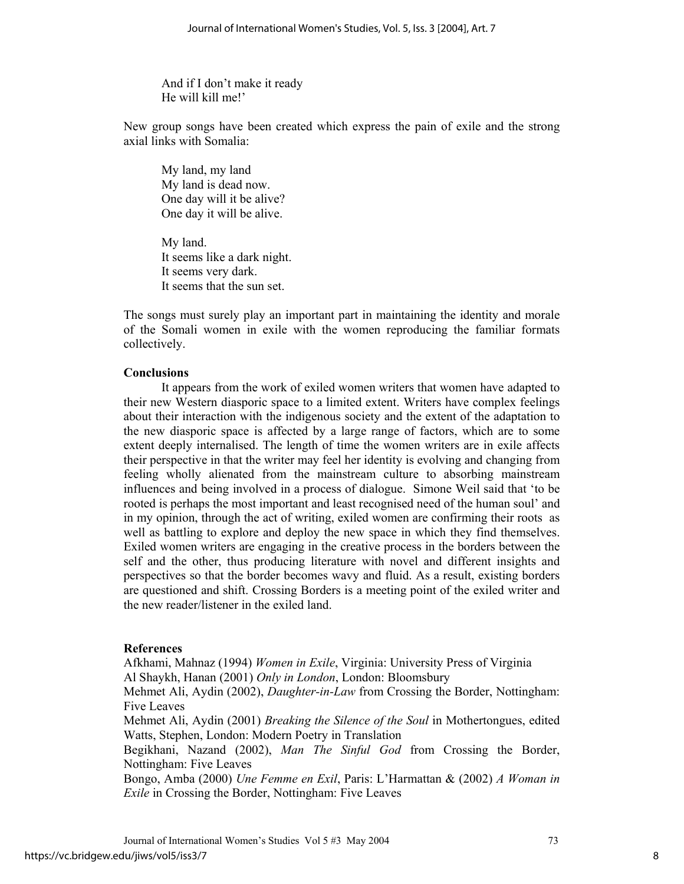And if I don't make it ready He will kill me!'

New group songs have been created which express the pain of exile and the strong axial links with Somalia:

My land, my land My land is dead now. One day will it be alive? One day it will be alive.

My land. It seems like a dark night. It seems very dark. It seems that the sun set.

The songs must surely play an important part in maintaining the identity and morale of the Somali women in exile with the women reproducing the familiar formats collectively.

## **Conclusions**

It appears from the work of exiled women writers that women have adapted to their new Western diasporic space to a limited extent. Writers have complex feelings about their interaction with the indigenous society and the extent of the adaptation to the new diasporic space is affected by a large range of factors, which are to some extent deeply internalised. The length of time the women writers are in exile affects their perspective in that the writer may feel her identity is evolving and changing from feeling wholly alienated from the mainstream culture to absorbing mainstream influences and being involved in a process of dialogue. Simone Weil said that 'to be rooted is perhaps the most important and least recognised need of the human soul' and in my opinion, through the act of writing, exiled women are confirming their roots as well as battling to explore and deploy the new space in which they find themselves. Exiled women writers are engaging in the creative process in the borders between the self and the other, thus producing literature with novel and different insights and perspectives so that the border becomes wavy and fluid. As a result, existing borders are questioned and shift. Crossing Borders is a meeting point of the exiled writer and the new reader/listener in the exiled land.

### **References**

Afkhami, Mahnaz (1994) *Women in Exile*, Virginia: University Press of Virginia Al Shaykh, Hanan (2001) *Only in London*, London: Bloomsbury Mehmet Ali, Aydin (2002), *Daughter-in-Law* from Crossing the Border, Nottingham: Five Leaves Mehmet Ali, Aydin (2001) *Breaking the Silence of the Soul* in Mothertongues, edited Watts, Stephen, London: Modern Poetry in Translation Begikhani, Nazand (2002), *Man The Sinful God* from Crossing the Border, Nottingham: Five Leaves Bongo, Amba (2000) *Une Femme en Exil*, Paris: L'Harmattan & (2002) *A Woman in Exile* in Crossing the Border, Nottingham: Five Leaves